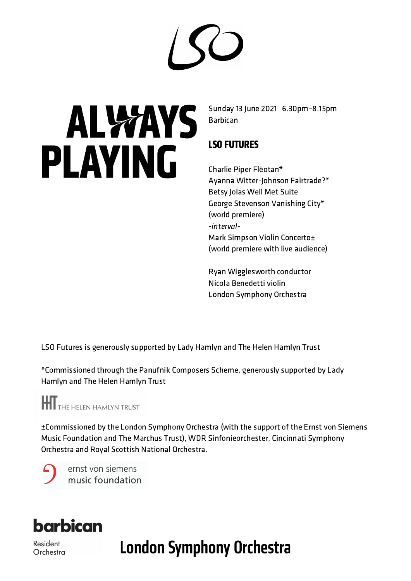$\bigcirc$ 

# **ALWAYS** PLAYING

Sunday 13 June 2021 6.30pm–8.15pm Barbican

#### LSO FUTURES

Charlie Piper Flēotan\* Ayanna Witter-Johnson Fairtrade?\* Betsy Jolas Well Met Suite George Stevenson Vanishing City\* (world premiere) -interval-Mark Simpson Violin Concerto± (world premiere with live audience)

Ryan Wigglesworth conductor Nicola Benedetti violin London Symphony Orchestra

LSO Futures is generously supported by Lady Hamlyn and The Helen Hamlyn Trust

\*Commissioned through the Panufnik Composers Scheme, generously supported by Lady Hamlyn and The Helen Hamlyn Trust

**THE HELEN HAMLYN TRUST** 

±Commissioned by the London Symphony Orchestra (with the support of the Ernst von Siemens Music Foundation and The Marchus Trust), WDR Sinfonieorchester, Cincinnati Symphony Orchestra and Royal Scottish National Orchestra.

ernst von siemens music foundation



Resident Orchestra **London Symphony Orchestra**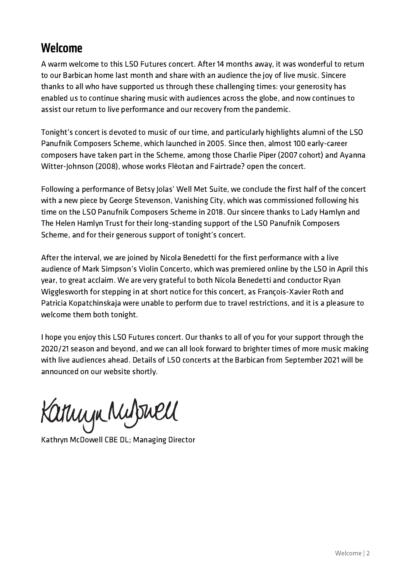#### Welcome

A warm welcome to this LSO Futures concert. After 14 months away, it was wonderful to return to our Barbican home last month and share with an audience the joy of live music. Sincere thanks to all who have supported us through these challenging times: your generosity has enabled us to continue sharing music with audiences across the globe, and now continues to assist our return to live performance and our recovery from the pandemic.

Tonight's concert is devoted to music of our time, and particularly highlights alumni of the LSO Panufnik Composers Scheme, which launched in 2005. Since then, almost 100 early-career composers have taken part in the Scheme, among those Charlie Piper (2007 cohort) and Ayanna Witter-Johnson (2008), whose works Flēotan and Fairtrade? open the concert.

Following a performance of Betsy Jolas' Well Met Suite, we conclude the first half of the concert with a new piece by George Stevenson, Vanishing City, which was commissioned following his time on the LSO Panufnik Composers Scheme in 2018. Our sincere thanks to Lady Hamlyn and The Helen Hamlyn Trust for their long-standing support of the LSO Panufnik Composers Scheme, and for their generous support of tonight's concert.

After the interval, we are joined by Nicola Benedetti for the first performance with a live audience of Mark Simpson's Violin Concerto, which was premiered online by the LSO in April this year, to great acclaim. We are very grateful to both Nicola Benedetti and conductor Ryan Wigglesworth for stepping in at short notice for this concert, as François-Xavier Roth and Patricia Kopatchinskaja were unable to perform due to travel restrictions, and it is a pleasure to welcome them both tonight.

I hope you enjoy this LSO Futures concert. Our thanks to all of you for your support through the 2020/21 season and beyond, and we can all look forward to brighter times of more music making with live audiences ahead. Details of LSO concerts at the Barbican from September 2021 will be announced on our [website](https://lso.co.uk/) shortly.

Karningn Mulphell

Kathryn McDowell CBE DL; Managing Director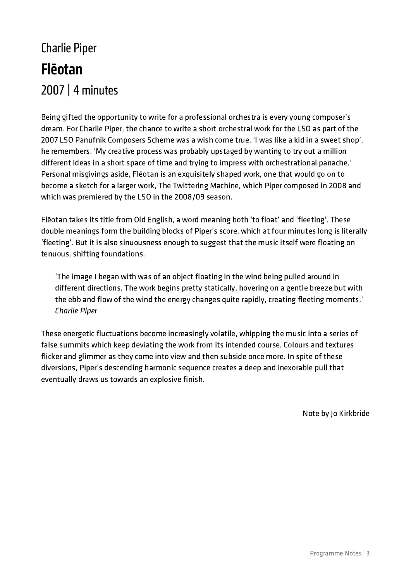### Charlie Piper Flēotan 2007| 4 minutes

Being gifted the opportunity to write for a professional orchestra is every young composer's dream. For Charlie Piper, the chance to write a short orchestral work for the LSO as part of the 2007 LSO Panufnik Composers Scheme was a wish come true. 'I was like a kid in a sweet shop', he remembers. 'My creative process was probably upstaged by wanting to try out a million different ideas in a short space of time and trying to impress with orchestrational panache.' Personal misgivings aside, Flēotan is an exquisitely shaped work, one that would go on to become a sketch for a larger work, The Twittering Machine, which Piper composed in 2008 and which was premiered by the LSO in the 2008/09 season.

Flēotan takes its title from Old English, a word meaning both 'to float' and 'fleeting'. These double meanings form the building blocks of Piper's score, which at four minutes long is literally 'fleeting'. But it is also sinuousness enough to suggest that the music itself were floating on tenuous, shifting foundations.

'The image I began with was of an object floating in the wind being pulled around in different directions. The work begins pretty statically, hovering on a gentle breeze but with the ebb and flow of the wind the energy changes quite rapidly, creating fleeting moments.' Charlie Piper

These energetic fluctuations become increasingly volatile, whipping the music into a series of false summits which keep deviating the work from its intended course. Colours and textures flicker and glimmer as they come into view and then subside once more. In spite of these diversions, Piper's descending harmonic sequence creates a deep and inexorable pull that eventually draws us towards an explosive finish.

Note by Jo Kirkbride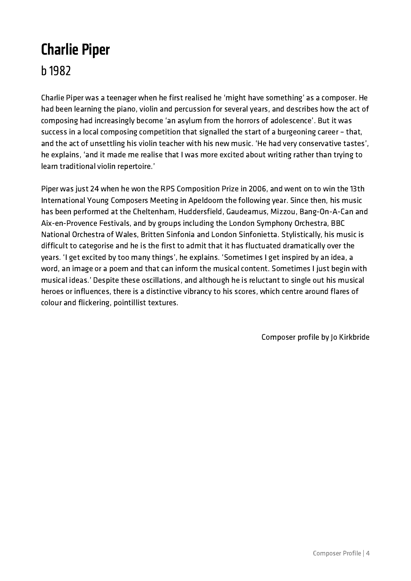## Charlie Piper

b 1982

Charlie Piper was a teenager when he first realised he 'might have something' as a composer. He had been learning the piano, violin and percussion for several years, and describes how the act of composing had increasingly become 'an asylum from the horrors of adolescence'. But it was success in a local composing competition that signalled the start of a burgeoning career – that, and the act of unsettling his violin teacher with his new music. 'He had very conservative tastes', he explains, 'and it made me realise that I was more excited about writing rather than trying to learn traditional violin repertoire.'

Piper was just 24 when he won the RPS Composition Prize in 2006, and went on to win the 13th International Young Composers Meeting in Apeldoorn the following year. Since then, his music has been performed at the Cheltenham, Huddersfield, Gaudeamus, Mizzou, Bang-On-A-Can and Aix-en-Provence Festivals, and by groups including the London Symphony Orchestra, BBC National Orchestra of Wales, Britten Sinfonia and London Sinfonietta. Stylistically, his music is difficult to categorise and he is the first to admit that it has fluctuated dramatically over the years. 'I get excited by too many things', he explains. 'Sometimes I get inspired by an idea, a word, an image or a poem and that can inform the musical content. Sometimes I just begin with musical ideas.' Despite these oscillations, and although he is reluctant to single out his musical heroes or influences, there is a distinctive vibrancy to his scores, which centre around flares of colour and flickering, pointillist textures.

Composer profile by Jo Kirkbride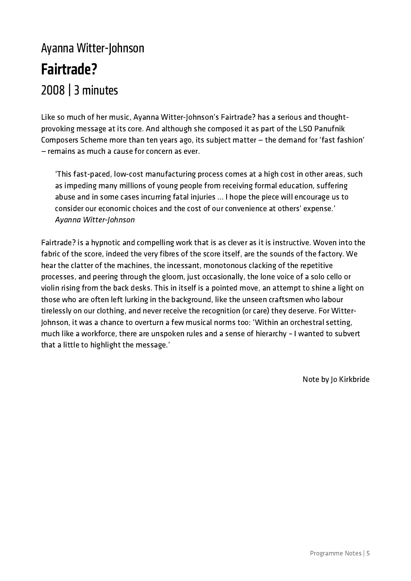### Ayanna Witter-Johnson Fairtrade? 2008 | 3 minutes

Like so much of her music, Ayanna Witter-Johnson's Fairtrade? has a serious and thoughtprovoking message at its core. And although she composed it as part of the LSO Panufnik Composers Scheme more than ten years ago, its subject matter — the demand for 'fast fashion' — remains as much a cause for concern as ever.

'This fast-paced, low-cost manufacturing process comes at a high cost in other areas, such as impeding many millions of young people from receiving formal education, suffering abuse and in some cases incurring fatal injuries … I hope the piece will encourage us to consider our economic choices and the cost of our convenience at others' expense.' Ayanna Witter-Johnson

Fairtrade? is a hypnotic and compelling work that is as clever as it is instructive. Woven into the fabric of the score, indeed the very fibres of the score itself, are the sounds of the factory. We hear the clatter of the machines, the incessant, monotonous clacking of the repetitive processes, and peering through the gloom, just occasionally, the lone voice of a solo cello or violin rising from the back desks. This in itself is a pointed move, an attempt to shine a light on those who are often left lurking in the background, like the unseen craftsmen who labour tirelessly on our clothing, and never receive the recognition (or care) they deserve. For Witter-Johnson, it was a chance to overturn a few musical norms too: 'Within an orchestral setting, much like a workforce, there are unspoken rules and a sense of hierarchy – I wanted to subvert that a little to highlight the message.'

Note by Jo Kirkbride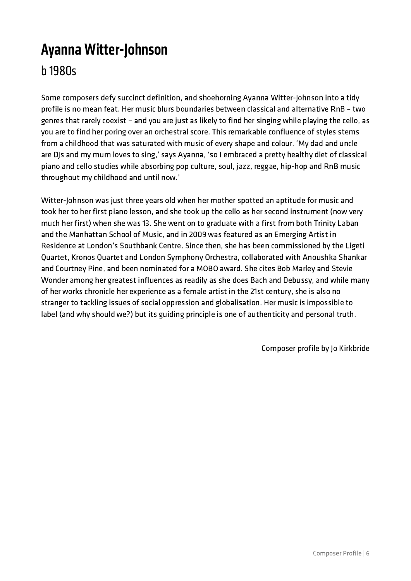#### Ayanna Witter-Johnson b 1980s

Some composers defy succinct definition, and shoehorning Ayanna Witter-Johnson into a tidy profile is no mean feat. Her music blurs boundaries between classical and alternative RnB – two genres that rarely coexist – and you are just as likely to find her singing while playing the cello, as you are to find her poring over an orchestral score. This remarkable confluence of styles stems from a childhood that was saturated with music of every shape and colour. 'My dad and uncle are DJs and my mum loves to sing,' says Ayanna, 'so I embraced a pretty healthy diet of classical piano and cello studies while absorbing pop culture, soul, jazz, reggae, hip-hop and RnB music throughout my childhood and until now.'

Witter-Johnson was just three years old when her mother spotted an aptitude for music and took her to her first piano lesson, and she took up the cello as her second instrument (now very much her first) when she was 13. She went on to graduate with a first from both Trinity Laban and the Manhattan School of Music, and in 2009 was featured as an Emerging Artist in Residence at London's Southbank Centre. Since then, she has been commissioned by the Ligeti Quartet, Kronos Quartet and London Symphony Orchestra, collaborated with Anoushka Shankar and Courtney Pine, and been nominated for a MOBO award. She cites Bob Marley and Stevie Wonder among her greatest influences as readily as she does Bach and Debussy, and while many of her works chronicle her experience as a female artist in the 21st century, she is also no stranger to tackling issues of social oppression and globalisation. Her music is impossible to label (and why should we?) but its guiding principle is one of authenticity and personal truth.

Composer profile by Jo Kirkbride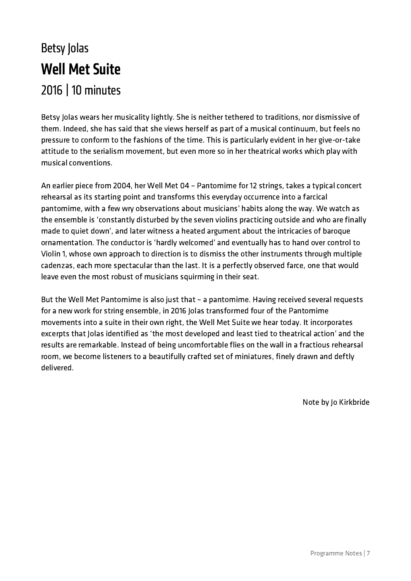### Betsy Jolas **Well Met Suite** 2016 | 10 minutes

Betsy Jolas wears her musicality lightly. She is neither tethered to traditions, nor dismissive of them. Indeed, she has said that she views herself as part of a musical continuum, but feels no pressure to conform to the fashions of the time. This is particularly evident in her give-or-take attitude to the serialism movement, but even more so in her theatrical works which play with musical conventions.

An earlier piece from 2004, her Well Met 04 – Pantomime for 12 strings, takes a typical concert rehearsal as its starting point and transforms this everyday occurrence into a farcical pantomime, with a few wry observations about musicians' habits along the way. We watch as the ensemble is 'constantly disturbed by the seven violins practicing outside and who are finally made to quiet down', and later witness a heated argument about the intricacies of baroque ornamentation. The conductor is 'hardly welcomed' and eventually has to hand over control to Violin 1, whose own approach to direction is to dismiss the other instruments through multiple cadenzas, each more spectacular than the last. It is a perfectly observed farce, one that would leave even the most robust of musicians squirming in their seat.

But the Well Met Pantomime is also just that – a pantomime. Having received several requests for a new work for string ensemble, in 2016 Jolas transformed four of the Pantomime movements into a suite in their own right, the Well Met Suite we hear today. It incorporates excerpts that Jolas identified as 'the most developed and least tied to theatrical action' and the results are remarkable. Instead of being uncomfortable flies on the wall in a fractious rehearsal room, we become listeners to a beautifully crafted set of miniatures, finely drawn and deftly delivered.

Note by Jo Kirkbride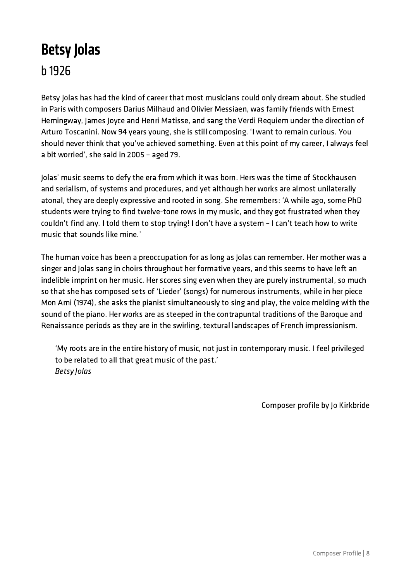#### Betsy Jolas b 1926

Betsy Jolas has had the kind of career that most musicians could only dream about. She studied in Paris with composers Darius Milhaud and Olivier Messiaen, was family friends with Ernest Hemingway, James Joyce and Henri Matisse, and sang the Verdi Requiem under the direction of Arturo Toscanini. Now 94 years young, she is still composing. 'I want to remain curious. You should never think that you've achieved something. Even at this point of my career, I always feel a bit worried', she said in 2005 – aged 79.

Jolas' music seems to defy the era from which it was born. Hers was the time of Stockhausen and serialism, of systems and procedures, and yet although her works are almost unilaterally atonal, they are deeply expressive and rooted in song. She remembers: 'A while ago, some PhD students were trying to find twelve-tone rows in my music, and they got frustrated when they couldn't find any. I told them to stop trying! I don't have a system – I can't teach how to write music that sounds like mine.'

The human voice has been a preoccupation for as long as Jolas can remember. Her mother was a singer and Jolas sang in choirs throughout her formative years, and this seems to have left an indelible imprint on her music. Her scores sing even when they are purely instrumental, so much so that she has composed sets of 'Lieder' (songs) for numerous instruments, while in her piece Mon Ami (1974), she asks the pianist simultaneously to sing and play, the voice melding with the sound of the piano. Her works are as steeped in the contrapuntal traditions of the Baroque and Renaissance periods as they are in the swirling, textural landscapes of French impressionism.

'My roots are in the entire history of music, not just in contemporary music. I feel privileged to be related to all that great music of the past.' Betsy Jolas

Composer profile by Jo Kirkbride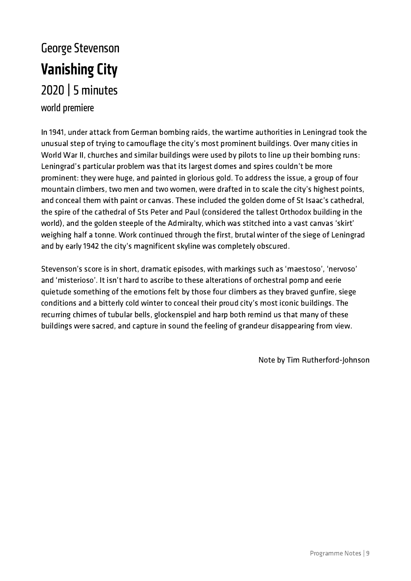#### George Stevenson **Vanishing City** 2020 | 5 minutes world premiere

In 1941, under attack from German bombing raids, the wartime authorities in Leningrad took the unusual step of trying to camouflage the city's most prominent buildings. Over many cities in World War II, churches and similar buildings were used by pilots to line up their bombing runs: Leningrad's particular problem was that its largest domes and spires couldn't be more prominent: they were huge, and painted in glorious gold. To address the issue, a group of four mountain climbers, two men and two women, were drafted in to scale the city's highest points, and conceal them with paint or canvas. These included the golden dome of St Isaac's cathedral, the spire of the cathedral of Sts Peter and Paul (considered the tallest Orthodox building in the world), and the golden steeple of the Admiralty, which was stitched into a vast canvas 'skirt' weighing half a tonne. Work continued through the first, brutal winter of the siege of Leningrad and by early 1942 the city's magnificent skyline was completely obscured.

Stevenson's score is in short, dramatic episodes, with markings such as 'maestoso', 'nervoso' and 'misterioso'. It isn't hard to ascribe to these alterations of orchestral pomp and eerie quietude something of the emotions felt by those four climbers as they braved gunfire, siege conditions and a bitterly cold winter to conceal their proud city's most iconic buildings. The recurring chimes of tubular bells, glockenspiel and harp both remind us that many of these buildings were sacred, and capture in sound the feeling of grandeur disappearing from view.

Note by Tim Rutherford-Johnson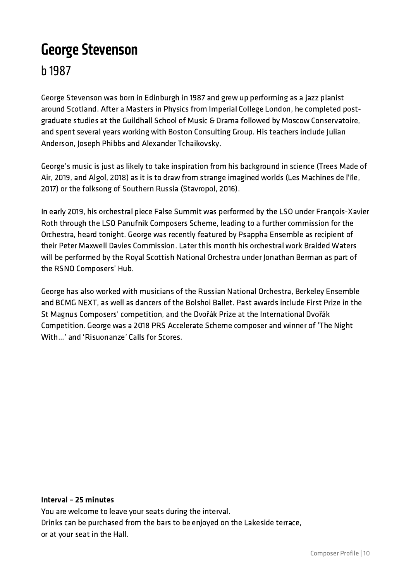#### **George Stevenson**

b 1987

George Stevenson was born in Edinburgh in 1987 and grew up performing as a jazz pianist around Scotland. After a Masters in Physics from Imperial College London, he completed postgraduate studies at the Guildhall School of Music & Drama followed by Moscow Conservatoire, and spent several years working with Boston Consulting Group. His teachers include Julian Anderson, Joseph Phibbs and Alexander Tchaikovsky.

George's music is just as likely to take inspiration from his background in science (Trees Made of Air, 2019, and Algol, 2018) as it is to draw from strange imagined worlds (Les Machines de l'île, 2017) or the folksong of Southern Russia (Stavropol, 2016).

In early 2019, his orchestral piece False Summit was performed by the LSO under François-Xavier Roth through the LSO Panufnik Composers Scheme, leading to a further commission for the Orchestra, heard tonight. George was recently featured by Psappha Ensemble as recipient of their Peter Maxwell Davies Commission. Later this month his orchestral work Braided Waters will be performed by the Royal Scottish National Orchestra under Jonathan Berman as part of the RSNO Composers' Hub.

George has also worked with musicians of the Russian National Orchestra, Berkeley Ensemble and BCMG NEXT, as well as dancers of the Bolshoi Ballet. Past awards include First Prize in the St Magnus Composers' competition, and the Dvořák Prize at the International Dvořák Competition. George was a 2018 PRS Accelerate Scheme composer and winner of 'The Night With...' and 'Risuonanze' Calls for Scores.

#### Interval – 25 minutes

You are welcome to leave your seats during the interval. Drinks can be purchased from the bars to be enjoyed on the Lakeside terrace, or at your seat in the Hall.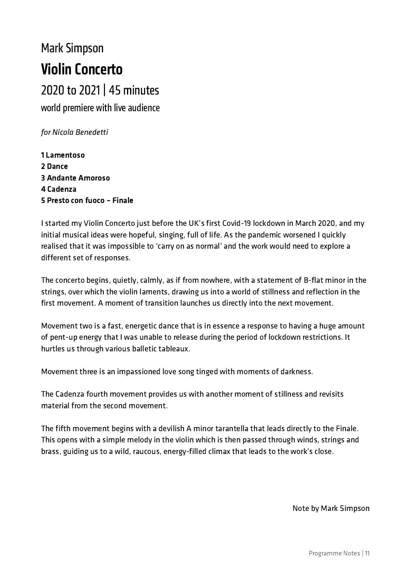# **Mark Simpson** Violin Concerto

2020 to 2021 | 45 minutes

world premiere with live audience

for Nicola Benedetti

1 Lamentoso 2 Dance 3 Andante Amoroso 4 Cadenza 5 Presto con fuoco – Finale

I started my Violin Concerto just before the UK's first Covid-19 lockdown in March 2020, and my initial musical ideas were hopeful, singing, full of life. As the pandemic worsened I quickly realised that it was impossible to 'carry on as normal' and the work would need to explore a different set of responses.

The concerto begins, quietly, calmly, as if from nowhere, with a statement of B-flat minor in the strings, over which the violin laments, drawing us into a world of stillness and reflection in the first movement. A moment of transition launches us directly into the next movement.

Movement two is a fast, energetic dance that is in essence a response to having a huge amount of pent-up energy that I was unable to release during the period of lockdown restrictions. It hurtles us through various balletic tableaux.

Movement three is an impassioned love song tinged with moments of darkness.

The Cadenza fourth movement provides us with another moment of stillness and revisits material from the second movement.

The fifth movement begins with a devilish A minor tarantella that leads directly to the Finale. This opens with a simple melody in the violin which is then passed through winds, strings and brass, guiding us to a wild, raucous, energy-filled climax that leads to the work's close.

Note by Mark Simpson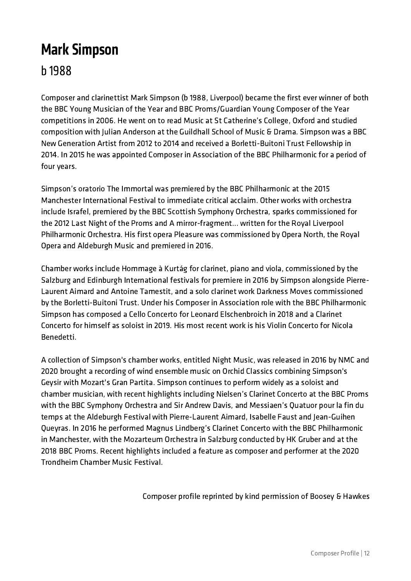### **Mark Simpson**

#### b 1988

Composer and clarinettist Mark Simpson (b 1988, Liverpool) became the first ever winner of both the BBC Young Musician of the Year and BBC Proms/Guardian Young Composer of the Year competitions in 2006. He went on to read Music at St Catherine's College, Oxford and studied composition with Julian Anderson at the Guildhall School of Music & Drama. Simpson was a BBC New Generation Artist from 2012 to 2014 and received a Borletti-Buitoni Trust Fellowship in 2014. In 2015 he was appointed Composer in Association of the BBC Philharmonic for a period of four years.

Simpson's oratorio The Immortal was premiered by the BBC Philharmonic at the 2015 Manchester International Festival to immediate critical acclaim. Other works with orchestra include Israfel, premiered by the BBC Scottish Symphony Orchestra, sparks commissioned for the 2012 Last Night of the Proms and A mirror-fragment… written for the Royal Liverpool Philharmonic Orchestra. His first opera Pleasure was commissioned by Opera North, the Royal Opera and Aldeburgh Music and premiered in 2016.

Chamber works include Hommage à Kurtág for clarinet, piano and viola, commissioned by the Salzburg and Edinburgh International festivals for premiere in 2016 by Simpson alongside Pierre-Laurent Aimard and Antoine Tamestit, and a solo clarinet work Darkness Moves commissioned by the Borletti-Buitoni Trust. Under his Composer in Association role with the BBC Philharmonic Simpson has composed a Cello Concerto for Leonard Elschenbroich in 2018 and a Clarinet Concerto for himself as soloist in 2019. His most recent work is his Violin Concerto for Nicola Benedetti.

A collection of Simpson's chamber works, entitled Night Music, was released in 2016 by NMC and 2020 brought a recording of wind ensemble music on Orchid Classics combining Simpson's Geysir with Mozart's Gran Partita. Simpson continues to perform widely as a soloist and chamber musician, with recent highlights including Nielsen's Clarinet Concerto at the BBC Proms with the BBC Symphony Orchestra and Sir Andrew Davis, and Messiaen's Quatuor pour la fin du temps at the Aldeburgh Festival with Pierre-Laurent Aimard, Isabelle Faust and Jean-Guihen Queyras. In 2016 he performed Magnus Lindberg's Clarinet Concerto with the BBC Philharmonic in Manchester, with the Mozarteum Orchestra in Salzburg conducted by HK Gruber and at the 2018 BBC Proms. Recent highlights included a feature as composer and performer at the 2020 Trondheim Chamber Music Festival.

Composer profile reprinted by kind permission of Boosey & Hawkes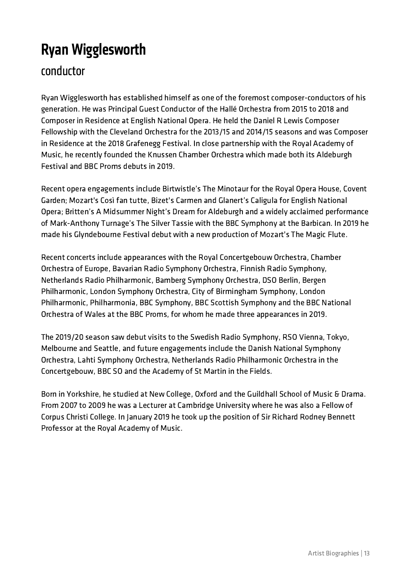### Ryan Wigglesworth

#### conductor

Ryan Wigglesworth has established himself as one of the foremost composer-conductors of his generation. He was Principal Guest Conductor of the Hallé Orchestra from 2015 to 2018 and Composer in Residence at English National Opera. He held the Daniel R Lewis Composer Fellowship with the Cleveland Orchestra for the 2013/15 and 2014/15 seasons and was Composer in Residence at the 2018 Grafenegg Festival. In close partnership with the Royal Academy of Music, he recently founded the Knussen Chamber Orchestra which made both its Aldeburgh Festival and BBC Proms debuts in 2019.

Recent opera engagements include Birtwistle's The Minotaur for the Royal Opera House, Covent Garden; Mozart's Così fan tutte, Bizet's Carmen and Glanert's Caligula for English National Opera; Britten's A Midsummer Night's Dream for Aldeburgh and a widely acclaimed performance of Mark-Anthony Turnage's The Silver Tassie with the BBC Symphony at the Barbican. In 2019 he made his Glyndebourne Festival debut with a new production of Mozart's The Magic Flute.

Recent concerts include appearances with the Royal Concertgebouw Orchestra, Chamber Orchestra of Europe, Bavarian Radio Symphony Orchestra, Finnish Radio Symphony, Netherlands Radio Philharmonic, Bamberg Symphony Orchestra, DSO Berlin, Bergen Philharmonic, London Symphony Orchestra, City of Birmingham Symphony, London Philharmonic, Philharmonia, BBC Symphony, BBC Scottish Symphony and the BBC National Orchestra of Wales at the BBC Proms, for whom he made three appearances in 2019.

The 2019/20 season saw debut visits to the Swedish Radio Symphony, RSO Vienna, Tokyo, Melbourne and Seattle, and future engagements include the Danish National Symphony Orchestra, Lahti Symphony Orchestra, Netherlands Radio Philharmonic Orchestra in the Concertgebouw, BBC SO and the Academy of St Martin in the Fields.

Born in Yorkshire, he studied at New College, Oxford and the Guildhall School of Music & Drama. From 2007 to 2009 he was a Lecturer at Cambridge University where he was also a Fellow of Corpus Christi College. In January 2019 he took up the position of Sir Richard Rodney Bennett Professor at the Royal Academy of Music.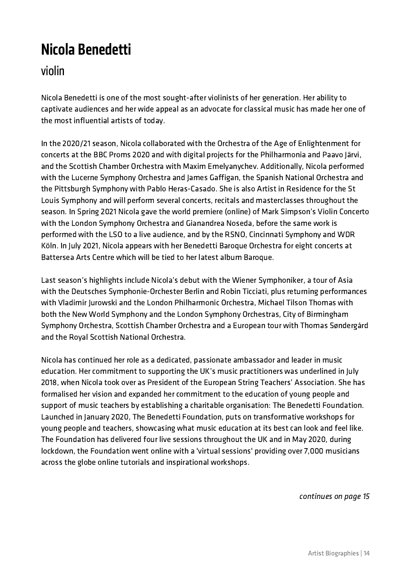### Nicola Benedetti

#### violin

Nicola Benedetti is one of the most sought-after violinists of her generation. Her ability to captivate audiences and her wide appeal as an advocate for classical music has made her one of the most influential artists of today.

In the 2020/21 season, Nicola collaborated with the Orchestra of the Age of Enlightenment for concerts at the BBC Proms 2020 and with digital projects for the Philharmonia and Paavo Järvi, and the Scottish Chamber Orchestra with Maxim Emelyanychev. Additionally, Nicola performed with the Lucerne Symphony Orchestra and James Gaffigan, the Spanish National Orchestra and the Pittsburgh Symphony with Pablo Heras-Casado. She is also Artist in Residence for the St Louis Symphony and will perform several concerts, recitals and masterclasses throughout the season. In Spring 2021 Nicola gave the world premiere (online) of Mark Simpson's Violin Concerto with the London Symphony Orchestra and Gianandrea Noseda, before the same work is performed with the LSO to a live audience, and by the RSNO, Cincinnati Symphony and WDR Köln. In July 2021, Nicola appears with her Benedetti Baroque Orchestra for eight concerts at Battersea Arts Centre which will be tied to her latest album Baroque.

Last season's highlights include Nicola's debut with the Wiener Symphoniker, a tour of Asia with the Deutsches Symphonie-Orchester Berlin and Robin Ticciati, plus returning performances with Vladimir Jurowski and the London Philharmonic Orchestra, Michael Tilson Thomas with both the New World Symphony and the London Symphony Orchestras, City of Birmingham Symphony Orchestra, Scottish Chamber Orchestra and a European tour with Thomas Søndergård and the Royal Scottish National Orchestra.

Nicola has continued her role as a dedicated, passionate ambassador and leader in music education. Her commitment to supporting the UK's music practitioners was underlined in July 2018, when Nicola took over as President of the European String Teachers' Association. She has formalised her vision and expanded her commitment to the education of young people and support of music teachers by establishing a charitable organisation: The Benedetti Foundation. Launched in January 2020, The Benedetti Foundation, puts on transformative workshops for young people and teachers, showcasing what music education at its best can look and feel like. The Foundation has delivered four live sessions throughout the UK and in May 2020, during lockdown, the Foundation went online with a 'virtual sessions' providing over 7,000 musicians across the globe online tutorials and inspirational workshops.

continues on page 15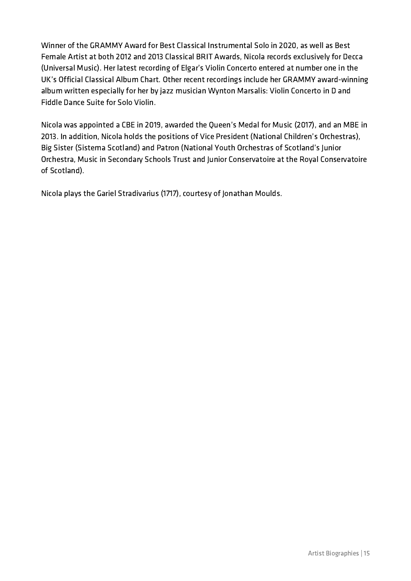Winner of the GRAMMY Award for Best Classical Instrumental Solo in 2020, as well as Best Female Artist at both 2012 and 2013 Classical BRIT Awards, Nicola records exclusively for Decca (Universal Music). Her latest recording of Elgar's Violin Concerto entered at number one in the UK's Official Classical Album Chart. Other recent recordings include her GRAMMY award-winning album written especially for her by jazz musician Wynton Marsalis: Violin Concerto in D and Fiddle Dance Suite for Solo Violin.

Nicola was appointed a CBE in 2019, awarded the Queen's Medal for Music (2017), and an MBE in 2013. In addition, Nicola holds the positions of Vice President (National Children's Orchestras), Big Sister (Sistema Scotland) and Patron (National Youth Orchestras of Scotland's Junior Orchestra, Music in Secondary Schools Trust and Junior Conservatoire at the Royal Conservatoire of Scotland).

Nicola plays the Gariel Stradivarius (1717), courtesy of Jonathan Moulds.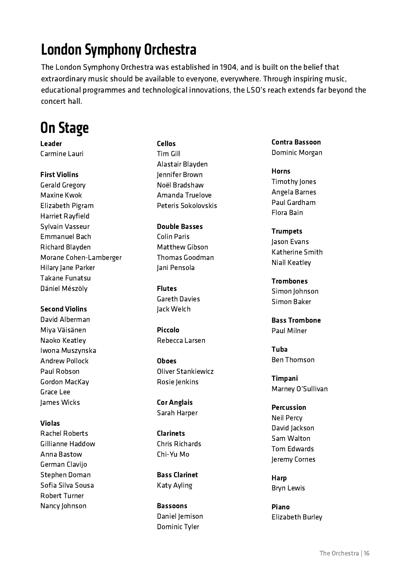### London Symphony Orchestra

The London Symphony Orchestra was established in 1904, and is built on the belief that extraordinary music should be available to everyone, everywhere. Through inspiring music, educational programmes and technological innovations, the LSO's reach extends far beyond the concert hall.

#### On Stage

Leader Carmine Lauri

#### First Violins

Gerald Gregory Maxine Kwok Elizabeth Pigram Harriet Rayfield Sylvain Vasseur Emmanuel Bach Richard Blayden Morane Cohen-Lamberger Hilary Jane Parker Takane Funatsu Dániel Mészöly

Second Violins David Alberman Miya Väisänen Naoko Keatley Iwona Muszynska Andrew Pollock Paul Robson Gordon MacKay Grace Lee James Wicks

#### Violas

Rachel Roberts Gillianne Haddow Anna Bastow German Clavijo Stephen Doman Sofia Silva Sousa Robert Turner Nancy Johnson

Cellos Tim Gill Alastair Blayden Jennifer Brown Noël Bradshaw Amanda Truelove Peteris Sokolovskis

Double Basses Colin Paris Matthew Gibson Thomas Goodman Jani Pensola

Flutes Gareth Davies Jack Welch

Piccolo Rebecca Larsen

Oboes Oliver Stankiewicz Rosie Jenkins

Cor Anglais Sarah Harper

Clarinets Chris Richards Chi-Yu Mo

Bass Clarinet Katy Ayling

Bassoons Daniel Jemison Dominic Tyler

Contra Bassoon Dominic Morgan

Horns Timothy Jones Angela Barnes Paul Gardham Flora Bain

Trumpets Jason Evans Katherine Smith Niall Keatley

Trombones Simon Johnson Simon Baker

Bass Trombone Paul Milner

Tuba Ben Thomson

Timpani Marney O'Sullivan

Percussion Neil Percy David Jackson Sam Walton Tom Edwards Jeremy Cornes

Harp Bryn Lewis

Piano Elizabeth Burley